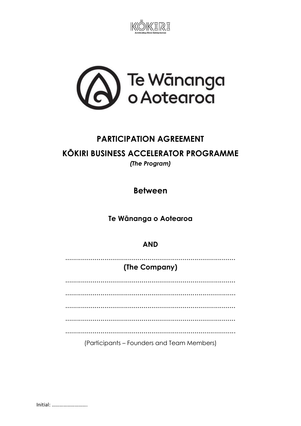



# **PARTICIPATION AGREEMENT**

# **KÖKIRI BUSINESS ACCELERATOR PROGRAMME**

(The Program)

**Between** 

Te Wānanga o Aotearoa

### **AND**

## (The Company)

(Participants – Founders and Team Members)

Initial: .............................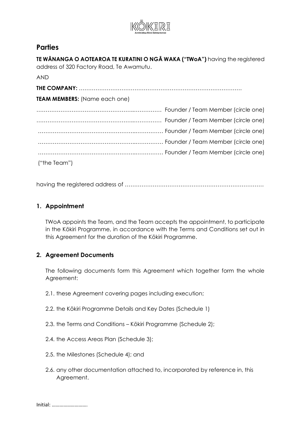

#### **Parties**

**TE WĀNANGA O AOTEAROA TE KURATINI O NGĀ WAKA ("TWoA")** having the registered address of 320 Factory Road, Te Awamutu.

AND

| TEAM MEMBERS: (Name each one) |  |
|-------------------------------|--|
|                               |  |
|                               |  |
|                               |  |
|                               |  |
|                               |  |
| ("the Team")                  |  |

having the registered address of …………………………………………………………………

#### **1. Appointment**

TWoA appoints the Team, and the Team accepts the appointment, to participate in the Kōkiri Programme, in accordance with the Terms and Conditions set out in this Agreement for the duration of the Kōkiri Programme.

#### **2. Agreement Documents**

The following documents form this Agreement which together form the whole Agreement:

- 2.1. these Agreement covering pages including execution;
- 2.2. the Kōkiri Programme Details and Key Dates (Schedule 1)
- 2.3. the Terms and Conditions Kōkiri Programme (Schedule 2);
- 2.4. the Access Areas Plan (Schedule 3);
- 2.5. the Milestones (Schedule 4); and
- 2.6. any other documentation attached to, incorporated by reference in, this Agreement.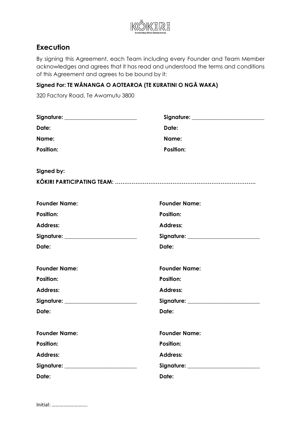

## **Execution**

By signing this Agreement, each Team including every Founder and Team Member acknowledges and agrees that it has read and understood the terms and conditions of this Agreement and agrees to be bound by it:

#### **Signed For: TE WĀNANGA O AOTEAROA (TE KURATINI O NGĀ WAKA)**

320 Factory Road, Te Awamutu 3800

| Signature: _______________________    | Signature: ________________________   |
|---------------------------------------|---------------------------------------|
| Date:                                 | Date:                                 |
| Name:                                 | Name:                                 |
| <b>Position:</b>                      | <b>Position:</b>                      |
| Signed by:                            |                                       |
|                                       |                                       |
| <b>Founder Name:</b>                  | <b>Founder Name:</b>                  |
| <b>Position:</b>                      | <b>Position:</b>                      |
| <b>Address:</b>                       | <b>Address:</b>                       |
| Signature: _________________________  | Signature: _________________________  |
| Date:                                 | Date:                                 |
| <b>Founder Name:</b>                  | <b>Founder Name:</b>                  |
| <b>Position:</b>                      | <b>Position:</b>                      |
| <b>Address:</b>                       | <b>Address:</b>                       |
| Signature: __________________________ | Signature: __________________________ |
| Date:                                 | Date:                                 |
| <b>Founder Name:</b>                  | <b>Founder Name:</b>                  |
| <b>Position:</b>                      | <b>Position:</b>                      |
| <b>Address:</b>                       | <b>Address:</b>                       |
|                                       |                                       |
| Date:                                 | Date:                                 |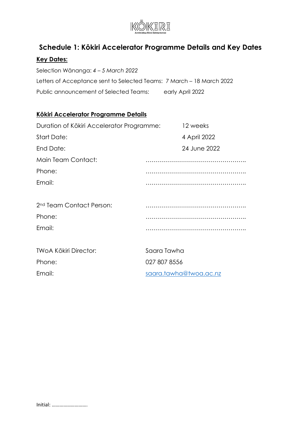

# **Schedule 1: Kōkiri Accelerator Programme Details and Key Dates**

## **Key Dates:**

Selection Wānanga: *4 – 5 March 2022* Letters of Acceptance sent to Selected Teams: 7 March – 18 March 2022 Public announcement of Selected Teams: early April 2022

### **Kōkiri Accelerator Programme Details**

| Duration of Kōkiri Accelerator Programme: |              | 12 weeks     |
|-------------------------------------------|--------------|--------------|
| <b>Start Date:</b>                        |              | 4 April 2022 |
| End Date:                                 |              | 24 June 2022 |
| Main Team Contact:                        |              |              |
| Phone:                                    |              |              |
| Email:                                    |              |              |
|                                           |              |              |
| 2 <sup>nd</sup> Team Contact Person:      |              |              |
| Phone:                                    |              |              |
| Email:                                    |              |              |
|                                           |              |              |
| <b>TWOA Kōkiri Director:</b>              | Saara Tawha  |              |
| Phone:                                    | 027 807 8556 |              |

Email: [saara.tawha@twoa.ac.nz](mailto:saara.tawha@twoa.ac.nz)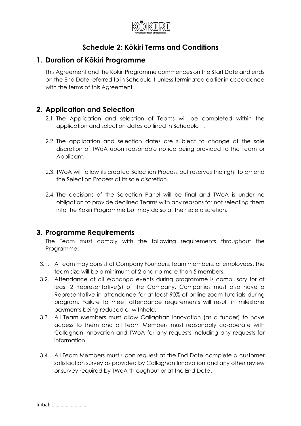

# **Schedule 2: Kōkiri Terms and Conditions**

#### **1. Duration of Kōkiri Programme**

This Agreement and the Kōkiri Programme commences on the Start Date and ends on the End Date referred to in Schedule 1 unless terminated earlier in accordance with the terms of this Agreement.

### **2. Application and Selection**

- 2.1. The Application and selection of Teams will be completed within the application and selection dates outlined in Schedule 1.
- 2.2. The application and selection dates are subject to change at the sole discretion of TWoA upon reasonable notice being provided to the Team or Applicant.
- 2.3. TWoA will follow its created Selection Process but reserves the right to amend the Selection Process at its sole discretion.
- 2.4. The decisions of the Selection Panel will be final and TWoA is under no obligation to provide declined Teams with any reasons for not selecting them into the Kōkiri Programme but may do so at their sole discretion.

#### **3. Programme Requirements**

The Team must comply with the following requirements throughout the Programme:

- 3.1. A Team may consist of Company Founders, team members, or employees. The team size will be a minimum of 2 and no more than 5 members.
- 3.2. Attendance at all Wananga events during programme is compulsory for at least 2 Representative(s) of the Company. Companies must also have a Representative in attendance for at least 90% of online zoom tutorials during program. Failure to meet attendance requirements will result in milestone payments being reduced or withheld.
- 3.3. All Team Members must allow Callaghan Innovation (as a funder) to have access to them and all Team Members must reasonably co-operate with Callaghan Innovation and TWoA for any requests including any requests for information.
- 3.4. All Team Members must upon request at the End Date complete a customer satisfaction survey as provided by Callaghan Innovation and any other review or survey required by TWoA throughout or at the End Date.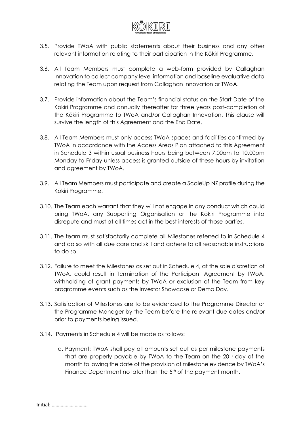

- 3.5. Provide TWoA with public statements about their business and any other relevant information relating to their participation in the Kōkiri Programme.
- 3.6. All Team Members must complete a web-form provided by Callaghan Innovation to collect company level information and baseline evaluative data relating the Team upon request from Callaghan Innovation or TWoA.
- 3.7. Provide information about the Team's financial status on the Start Date of the Kōkiri Programme and annually thereafter for three years post-completion of the Kōkiri Programme to TWoA and/or Callaghan Innovation. This clause will survive the length of this Agreement and the End Date.
- 3.8. All Team Members must only access TWoA spaces and facilities confirmed by TWoA in accordance with the Access Areas Plan attached to this Agreement in Schedule 3 within usual business hours being between 7.00am to 10.00pm Monday to Friday unless access is granted outside of these hours by invitation and agreement by TWoA.
- 3.9. All Team Members must participate and create a ScaleUp NZ profile during the Kōkiri Programme.
- 3.10. The Team each warrant that they will not engage in any conduct which could bring TWoA, any Supporting Organisation or the Kōkiri Programme into disrepute and must at all times act in the best interests of those parties.
- 3.11. The team must satisfactorily complete all Milestones referred to in Schedule 4 and do so with all due care and skill and adhere to all reasonable instructions to do so.
- 3.12. Failure to meet the Milestones as set out in Schedule 4, at the sole discretion of TWoA, could result in Termination of the Participant Agreement by TWoA, withholding of grant payments by TWoA or exclusion of the Team from key programme events such as the Investor Showcase or Demo Day.
- 3.13. Satisfaction of Milestones are to be evidenced to the Programme Director or the Programme Manager by the Team before the relevant due dates and/or prior to payments being issued.
- 3.14. Payments in Schedule 4 will be made as follows:
	- a. Payment: TWoA shall pay all amounts set out as per milestone payments that are properly payable by TWoA to the Team on the 20<sup>th</sup> day of the month following the date of the provision of milestone evidence by TWoA's Finance Department no later than the 5<sup>th</sup> of the payment month.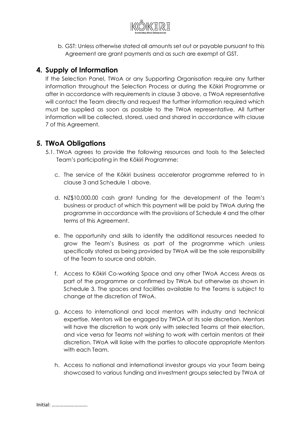

b. GST: Unless otherwise stated all amounts set out or payable pursuant to this Agreement are grant payments and as such are exempt of GST.

## **4. Supply of Information**

If the Selection Panel, TWoA or any Supporting Organisation require any further information throughout the Selection Process or during the Kōkiri Programme or after in accordance with requirements in clause 3 above, a TWoA representative will contact the Team directly and request the further information required which must be supplied as soon as possible to the TWoA representative. All further information will be collected, stored, used and shared in accordance with clause 7 of this Agreement.

### **5. TWoA Obligations**

- 5.1. TWoA agrees to provide the following resources and tools to the Selected Team's participating in the Kōkiri Programme:
	- c. The service of the Kōkiri business accelerator programme referred to in clause 3 and Schedule 1 above.
	- d. NZ\$10,000.00 cash grant funding for the development of the Team's business or product of which this payment will be paid by TWoA during the programme in accordance with the provisions of Schedule 4 and the other terms of this Agreement.
	- e. The opportunity and skills to identify the additional resources needed to grow the Team's Business as part of the programme which unless specifically stated as being provided by TWoA will be the sole responsibility of the Team to source and obtain.
	- f. Access to Kōkiri Co-working Space and any other TWoA Access Areas as part of the programme or confirmed by TWoA but otherwise as shown in Schedule 3. The spaces and facilities available to the Teams is subject to change at the discretion of TWoA.
	- g. Access to international and local mentors with industry and technical expertise. Mentors will be engaged by TWOA at its sole discretion. Mentors will have the discretion to work only with selected Teams at their election, and vice versa for Teams not wishing to work with certain mentors at their discretion. TWoA will liaise with the parties to allocate appropriate Mentors with each Team.
	- h. Access to national and international investor groups via your Team being showcased to various funding and investment groups selected by TWoA at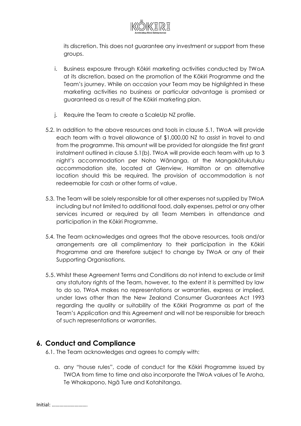

its discretion. This does not guarantee any investment or support from these groups.

- i. Business exposure through Kōkiri marketing activities conducted by TWoA at its discretion, based on the promotion of the Kōkiri Programme and the Team's journey. While on occasion your Team may be highlighted in these marketing activities no business or particular advantage is promised or guaranteed as a result of the Kōkiri marketing plan.
- j. Require the Team to create a ScaleUp NZ profile.
- 5.2. In addition to the above resources and tools in clause 5.1, TWoA will provide each team with a travel allowance of \$1,000.00 NZ to assist in travel to and from the programme. This amount will be provided for alongside the first grant instalment outlined in clause 5.1(b). TWoA will provide each team with up to 3 night's accommodation per Noho Wānanga, at the Mangakōtukutuku accommodation site, located at Glenview, Hamilton or an alternative location should this be required. The provision of accommodation is not redeemable for cash or other forms of value.
- 5.3. The Team will be solely responsible for all other expenses not supplied by TWoA including but not limited to additional food, daily expenses, petrol or any other services incurred or required by all Team Members in attendance and participation in the Kōkiri Programme.
- 5.4. The Team acknowledges and agrees that the above resources, tools and/or arrangements are all complimentary to their participation in the Kōkiri Programme and are therefore subject to change by TWoA or any of their Supporting Organisations.
- 5.5. Whilst these Agreement Terms and Conditions do not intend to exclude or limit any statutory rights of the Team, however, to the extent it is permitted by law to do so, TWoA makes no representations or warranties, express or implied, under laws other than the New Zealand Consumer Guarantees Act 1993 regarding the quality or suitability of the Kōkiri Programme as part of the Team's Application and this Agreement and will not be responsible for breach of such representations or warranties.

## **6. Conduct and Compliance**

- 6.1. The Team acknowledges and agrees to comply with:
	- a. any "house rules", code of conduct for the Kōkiri Programme issued by TWOA from time to time and also incorporate the TWoA values of Te Aroha, Te Whakapono, Ngā Ture and Kotahitanga.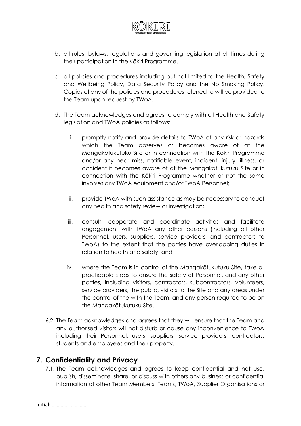

- b. all rules, bylaws, regulations and governing legislation at all times during their participation in the Kōkiri Programme.
- c. all policies and procedures including but not limited to the Health, Safety and Wellbeing Policy, Data Security Policy and the No Smoking Policy. Copies of any of the policies and procedures referred to will be provided to the Team upon request by TWoA.
- d. The Team acknowledges and agrees to comply with all Health and Safety legislation and TWoA policies as follows:
	- i. promptly notify and provide details to TWoA of any risk or hazards which the Team observes or becomes aware of at the Mangakōtukutuku Site or in connection with the Kōkiri Programme and/or any near miss, notifiable event, incident, injury, illness, or accident it becomes aware of at the Mangakōtukutuku Site or in connection with the Kōkiri Programme whether or not the same involves any TWoA equipment and/or TWoA Personnel;
	- ii. provide TWoA with such assistance as may be necessary to conduct any health and safety review or investigation;
	- iii. consult, cooperate and coordinate activities and facilitate engagement with TWoA any other persons (including all other Personnel, users, suppliers, service providers, and contractors to TWoA) to the extent that the parties have overlapping duties in relation to health and safety; and
	- iv. where the Team is in control of the Mangakōtukutuku Site, take all practicable steps to ensure the safety of Personnel, and any other parties, including visitors, contractors, subcontractors, volunteers, service providers, the public, visitors to the Site and any areas under the control of the with the Team, and any person required to be on the Mangakōtukutuku Site.
- 6.2. The Team acknowledges and agrees that they will ensure that the Team and any authorised visitors will not disturb or cause any inconvenience to TWoA including their Personnel, users, suppliers, service providers, contractors, students and employees and their property.

### **7. Confidentiality and Privacy**

7.1. The Team acknowledges and agrees to keep confidential and not use, publish, disseminate, share, or discuss with others any business or confidential information of other Team Members, Teams, TWoA, Supplier Organisations or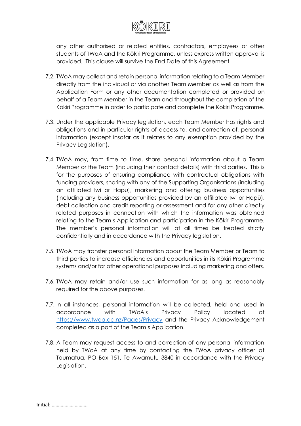

any other authorised or related entities, contractors, employees or other students of TWoA and the Kōkiri Programme, unless express written approval is provided. This clause will survive the End Date of this Agreement.

- 7.2. TWoA may collect and retain personal information relating to a Team Member directly from the individual or via another Team Member as well as from the Application Form or any other documentation completed or provided on behalf of a Team Member in the Team and throughout the completion of the Kōkiri Programme in order to participate and complete the Kōkiri Programme.
- 7.3. Under the applicable Privacy legislation, each Team Member has rights and obligations and in particular rights of access to, and correction of, personal information (except insofar as it relates to any exemption provided by the Privacy Legislation).
- 7.4. TWoA may, from time to time, share personal information about a Team Member or the Team (including their contact details) with third parties. This is for the purposes of ensuring compliance with contractual obligations with funding providers, sharing with any of the Supporting Organisations (including an affiliated Iwi or Hapu), marketing and offering business opportunities (including any business opportunities provided by an affiliated Iwi or Hapū), debt collection and credit reporting or assessment and for any other directly related purposes in connection with which the information was obtained relating to the Team's Application and participation in the Kōkiri Programme. The member's personal information will at all times be treated strictly confidentially and in accordance with the Privacy legislation.
- 7.5. TWoA may transfer personal information about the Team Member or Team to third parties to increase efficiencies and opportunities in its Kōkiri Programme systems and/or for other operational purposes including marketing and offers.
- 7.6. TWoA may retain and/or use such information for as long as reasonably required for the above purposes.
- 7.7. In all instances, personal information will be collected, held and used in accordance with TWoA's Privacy Policy located at <https://www.twoa.ac.nz/Pages/Privacy> and the Privacy Acknowledgement completed as a part of the Team's Application.
- 7.8. A Team may request access to and correction of any personal information held by TWoA at any time by contacting the TWoA privacy officer at Taumatua, PO Box 151, Te Awamutu 3840 in accordance with the Privacy Legislation.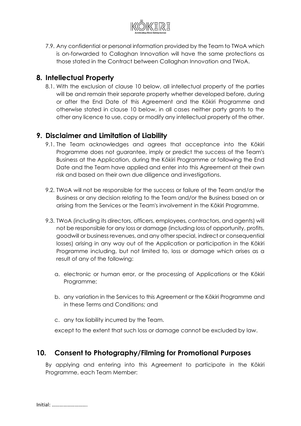

7.9. Any confidential or personal information provided by the Team to TWoA which is on-forwarded to Callaghan Innovation will have the same protections as those stated in the Contract between Callaghan Innovation and TWoA.

### **8. Intellectual Property**

8.1. With the exclusion of clause 10 below, all intellectual property of the parties will be and remain their separate property whether developed before, during or after the End Date of this Agreement and the Kōkiri Programme and otherwise stated in clause 10 below, in all cases neither party grants to the other any licence to use, copy or modify any intellectual property of the other.

## **9. Disclaimer and Limitation of Liability**

- 9.1. The Team acknowledges and agrees that acceptance into the Kōkiri Programme does not guarantee, imply or predict the success of the Team's Business at the Application, during the Kōkiri Programme or following the End Date and the Team have applied and enter into this Agreement at their own risk and based on their own due diligence and investigations.
- 9.2. TWoA will not be responsible for the success or failure of the Team and/or the Business or any decision relating to the Team and/or the Business based on or arising from the Services or the Team's involvement in the Kōkiri Programme.
- 9.3. TWoA (including its directors, officers, employees, contractors, and agents) will not be responsible for any loss or damage (including loss of opportunity, profits, goodwill or business revenues, and any other special, indirect or consequential losses) arising in any way out of the Application or participation in the Kōkiri Programme including, but not limited to, loss or damage which arises as a result of any of the following:
	- a. electronic or human error, or the processing of Applications or the Kōkiri Programme;
	- b. any variation in the Services to this Agreement or the Kōkiri Programme and in these Terms and Conditions; and
	- c. any tax liability incurred by the Team.

except to the extent that such loss or damage cannot be excluded by law.

### **10. Consent to Photography/Filming for Promotional Purposes**

By applying and entering into this Agreement to participate in the Kōkiri Programme, each Team Member: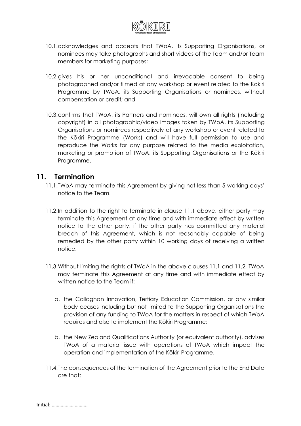

- 10.1.acknowledges and accepts that TWoA, its Supporting Organisations, or nominees may take photographs and short videos of the Team and/or Team members for marketing purposes;
- 10.2.gives his or her unconditional and irrevocable consent to being photographed and/or filmed at any workshop or event related to the Kōkiri Programme by TWoA, its Supporting Organisations or nominees, without compensation or credit; and
- 10.3.confirms that TWoA, its Partners and nominees, will own all rights (including copyright) in all photographic/video images taken by TWoA, its Supporting Organisations or nominees respectively at any workshop or event related to the Kōkiri Programme (Works) and will have full permission to use and reproduce the Works for any purpose related to the media exploitation, marketing or promotion of TWoA, its Supporting Organisations or the Kōkiri Programme.

#### **11. Termination**

- 11.1.TWoA may terminate this Agreement by giving not less than 5 working days' notice to the Team.
- 11.2.In addition to the right to terminate in clause 11.1 above, either party may terminate this Agreement at any time and with immediate effect by written notice to the other party, if the other party has committed any material breach of this Agreement, which is not reasonably capable of being remedied by the other party within 10 working days of receiving a written notice.
- 11.3.Without limiting the rights of TWoA in the above clauses 11.1 and 11.2, TWoA may terminate this Agreement at any time and with immediate effect by written notice to the Team if:
	- a. the Callaghan Innovation, Tertiary Education Commission, or any similar body ceases including but not limited to the Supporting Organisations the provision of any funding to TWoA for the matters in respect of which TWoA requires and also to implement the Kōkiri Programme;
	- b. the New Zealand Qualifications Authority (or equivalent authority), advises TWoA of a material issue with operations of TWoA which impact the operation and implementation of the Kōkiri Programme.
- 11.4.The consequences of the termination of the Agreement prior to the End Date are that: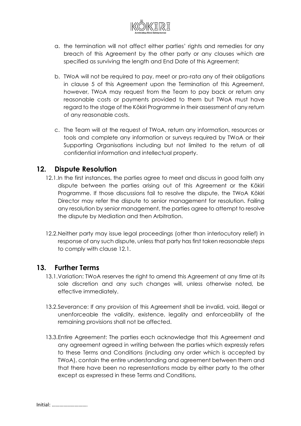

- a. the termination will not affect either parties' rights and remedies for any breach of this Agreement by the other party or any clauses which are specified as surviving the length and End Date of this Agreement;
- b. TWoA will not be required to pay, meet or pro-rata any of their obligations in clause 5 of this Agreement upon the Termination of this Agreement, however, TWoA may request from the Team to pay back or return any reasonable costs or payments provided to them but TWoA must have regard to the stage of the Kōkiri Programme in their assessment of any return of any reasonable costs.
- c. The Team will at the request of TWoA, return any information, resources or tools and complete any information or surveys required by TWoA or their Supporting Organisations including but not limited to the return of all confidential information and intellectual property.

### **12. Dispute Resolution**

- 12.1.In the first instances, the parties agree to meet and discuss in good faith any dispute between the parties arising out of this Agreement or the Kōkiri Programme. If those discussions fail to resolve the dispute, the TWoA Kōkiri Director may refer the dispute to senior management for resolution. Failing any resolution by senior management, the parties agree to attempt to resolve the dispute by Mediation and then Arbitration.
- 12.2.Neither party may issue legal proceedings (other than interlocutory relief) in response of any such dispute, unless that party has first taken reasonable steps to comply with clause 12.1.

#### **13. Further Terms**

- 13.1.Variation: TWoA reserves the right to amend this Agreement at any time at its sole discretion and any such changes will, unless otherwise noted, be effective immediately.
- 13.2.Severance: If any provision of this Agreement shall be invalid, void, illegal or unenforceable the validity, existence, legality and enforceability of the remaining provisions shall not be affected.
- 13.3.Entire Agreement: The parties each acknowledge that this Agreement and any agreement agreed in writing between the parties which expressly refers to these Terms and Conditions (including any order which is accepted by TWoA), contain the entire understanding and agreement between them and that there have been no representations made by either party to the other except as expressed in these Terms and Conditions.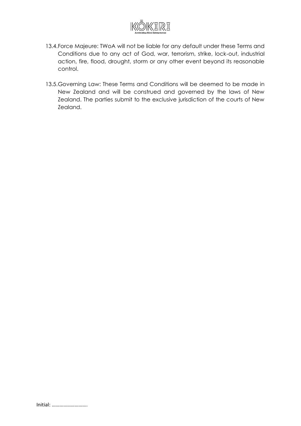

- 13.4.Force Majeure: TWoA will not be liable for any default under these Terms and Conditions due to any act of God, war, terrorism, strike, lock‑out, industrial action, fire, flood, drought, storm or any other event beyond its reasonable control.
- 13.5.Governing Law: These Terms and Conditions will be deemed to be made in New Zealand and will be construed and governed by the laws of New Zealand. The parties submit to the exclusive jurisdiction of the courts of New Zealand.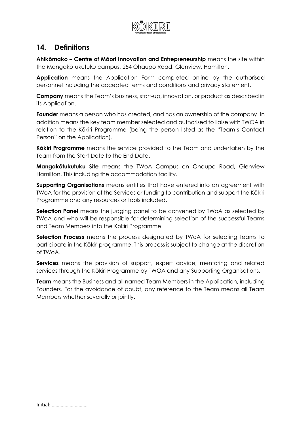

### **14. Definitions**

**Ahikōmako – Centre of Māori Innovation and Entrepreneurship** means the site within the Mangakōtukutuku campus, 254 Ohaupo Road, Glenview, Hamilton.

**Application** means the Application Form completed online by the authorised personnel including the accepted terms and conditions and privacy statement.

**Company** means the Team's business, start-up, innovation, or product as described in its Application.

**Founder** means a person who has created, and has an ownership of the company. In addition means the key team member selected and authorised to liaise with TWOA in relation to the Kōkiri Programme (being the person listed as the "Team's Contact Person" on the Application).

**Kōkiri Programme** means the service provided to the Team and undertaken by the Team from the Start Date to the End Date.

**Mangakōtukutuku Site** means the TWoA Campus on Ohaupo Road, Glenview Hamilton. This including the accommodation facility.

**Supporting Organisations** means entities that have entered into an agreement with TWoA for the provision of the Services or funding to contribution and support the Kōkiri Programme and any resources or tools included.

**Selection Panel** means the judging panel to be convened by TWoA as selected by TWoA and who will be responsible for determining selection of the successful Teams and Team Members into the Kōkiri Programme.

**Selection Process** means the process designated by TWoA for selecting teams to participate in the Kōkiri programme. This process is subject to change at the discretion of TWoA.

**Services** means the provision of support, expert advice, mentoring and related services through the Kōkiri Programme by TWOA and any Supporting Organisations.

**Team** means the Business and all named Team Members in the Application, including Founders. For the avoidance of doubt, any reference to the Team means all Team Members whether severally or jointly.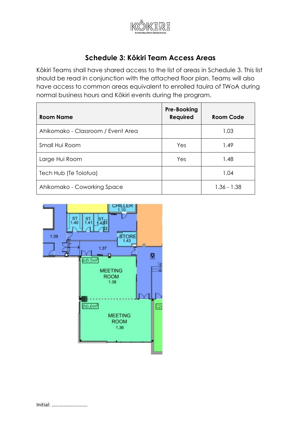

# **Schedule 3: Kōkiri Team Access Areas**

Kōkiri Teams shall have shared access to the list of areas in Schedule 3. This list should be read in conjunction with the attached floor plan. Teams will also have access to common areas equivalent to enrolled tauira of TWoA during normal business hours and Kōkiri events during the program.

| <b>Room Name</b>                   | Pre-Booking<br><b>Required</b> | Room Code     |
|------------------------------------|--------------------------------|---------------|
| Ahikomako - Classroom / Event Area |                                | 1.03          |
| Small Hui Room                     | Yes                            | 1.49          |
| Large Hui Room                     | Yes                            | 1.48          |
| Tech Hub (Te Toiotua)              |                                | 1.04          |
| Ahikomako - Coworking Space        |                                | $1.36 - 1.38$ |

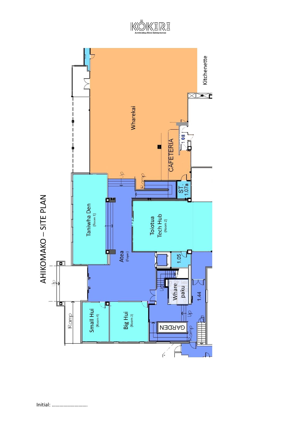